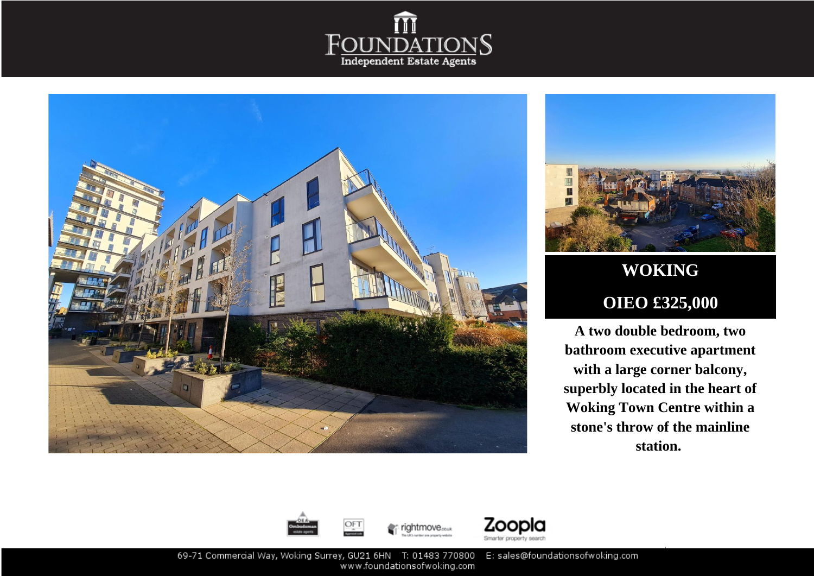





## **WOKING OIEO £325,000**

**A two double bedroom, two bathroom executive apartment with a large corner balcony, superbly located in the heart of Woking Town Centre within a stone's throw of the mainline station.**







69-71 Commercial Way, Woking Surrey, GU21 6HN T: 01483 770800 E: sales@foundationsofwoking.com www.foundationsofwoking.com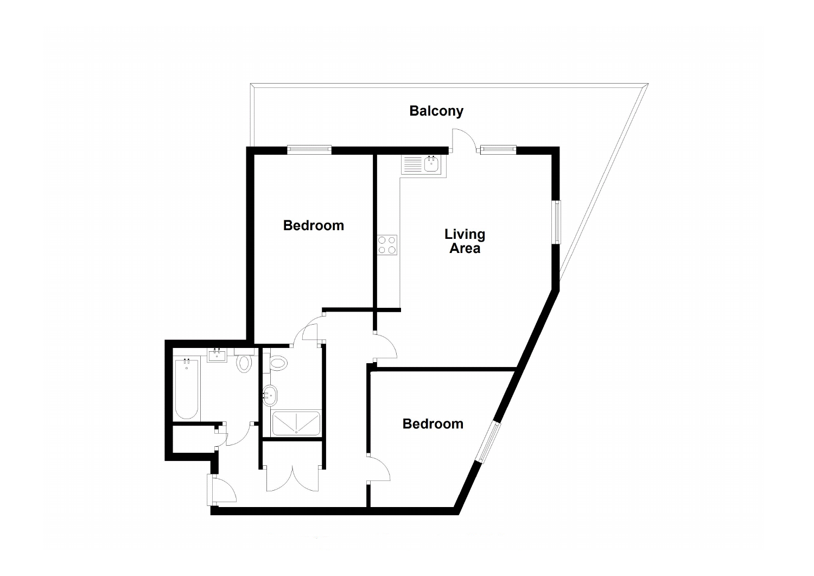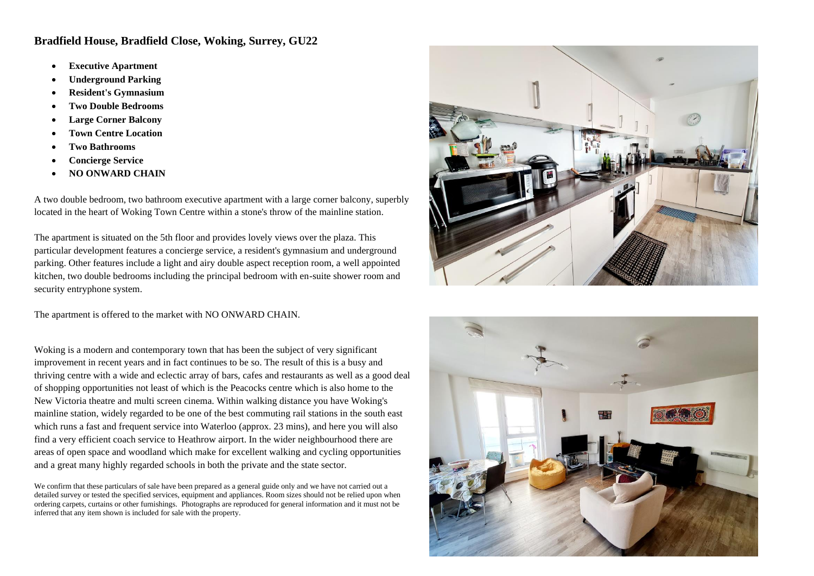## **Bradfield House, Bradfield Close, Woking, Surrey, GU22**

- **Executive Apartment**
- **Underground Parking**
- **Resident's Gymnasium**
- **Two Double Bedrooms**
- **Large Corner Balcony**
- **Town Centre Location**
- **Two Bathrooms**
- **Concierge Service**
- **NO ONWARD CHAIN**

A two double bedroom, two bathroom executive apartment with a large corner balcony, superbly located in the heart of Woking Town Centre within a stone's throw of the mainline station.

The apartment is situated on the 5th floor and provides lovely views over the plaza. This particular development features a concierge service, a resident's gymnasium and underground parking. Other features include a light and airy double aspect reception room, a well appointed kitchen, two double bedrooms including the principal bedroom with en-suite shower room and security entryphone system.

The apartment is offered to the market with NO ONWARD CHAIN.

Woking is a modern and contemporary town that has been the subject of very significant improvement in recent years and in fact continues to be so. The result of this is a busy and thriving centre with a wide and eclectic array of bars, cafes and restaurants as well as a good deal of shopping opportunities not least of which is the Peacocks centre which is also home to the New Victoria theatre and multi screen cinema. Within walking distance you have Woking's mainline station, widely regarded to be one of the best commuting rail stations in the south east which runs a fast and frequent service into Waterloo (approx. 23 mins), and here you will also find a very efficient coach service to Heathrow airport. In the wider neighbourhood there are areas of open space and woodland which make for excellent walking and cycling opportunities and a great many highly regarded schools in both the private and the state sector.

We confirm that these particulars of sale have been prepared as a general guide only and we have not carried out a detailed survey or tested the specified services, equipment and appliances. Room sizes should not be relied upon when ordering carpets, curtains or other furnishings. Photographs are reproduced for general information and it must not be inferred that any item shown is included for sale with the property.